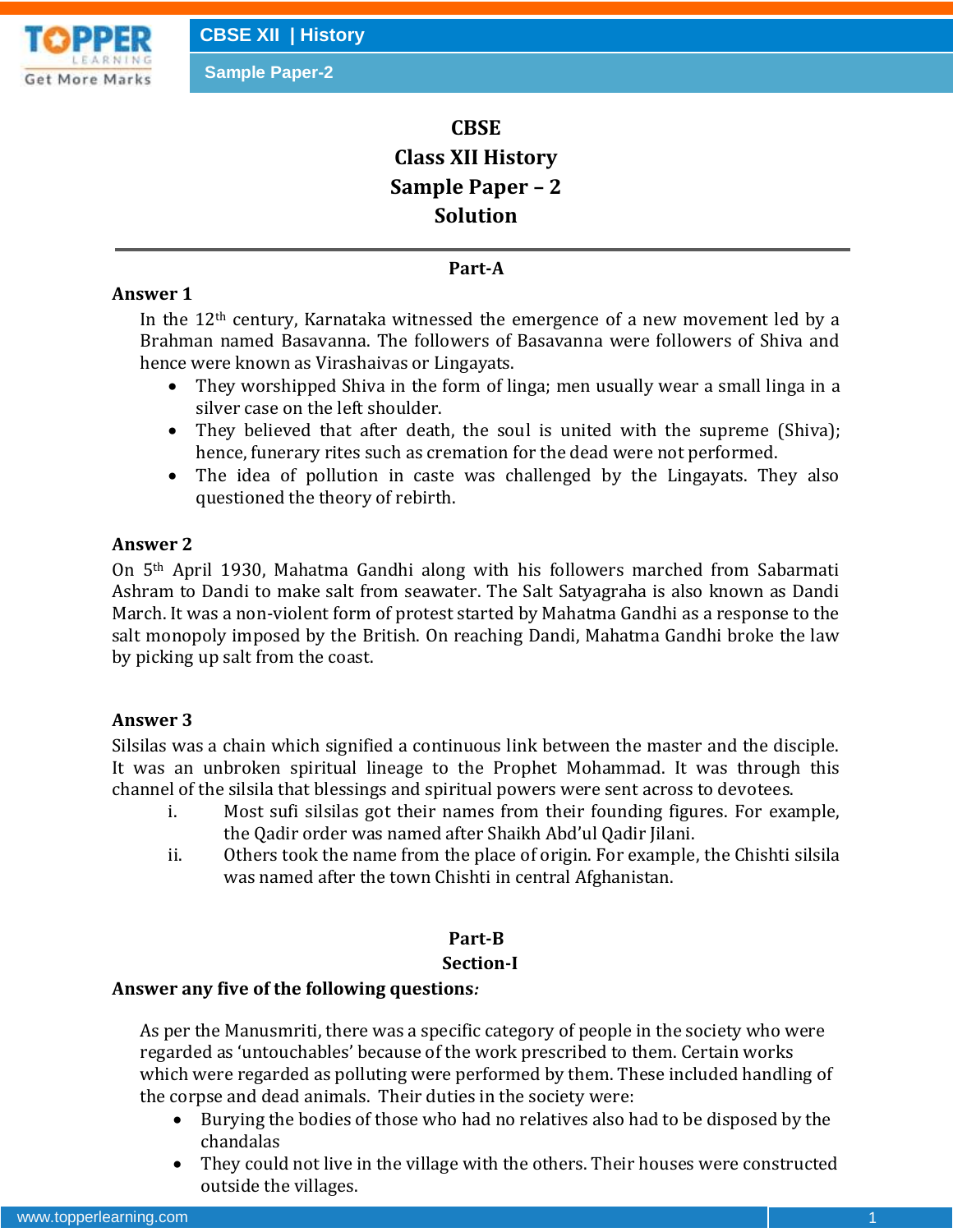# **CBSE Class XII History Sample Paper – 2 Solution**

# **Part-A**

# **Answer 1**

In the  $12<sup>th</sup>$  century, Karnataka witnessed the emergence of a new movement led by a Brahman named Basavanna. The followers of Basavanna were followers of Shiva and hence were known as Virashaivas or Lingayats.

- They worshipped Shiva in the form of linga; men usually wear a small linga in a silver case on the left shoulder.
- They believed that after death, the soul is united with the supreme (Shiva); hence, funerary rites such as cremation for the dead were not performed.
- The idea of pollution in caste was challenged by the Lingayats. They also questioned the theory of rebirth.

# **Answer 2**

On 5th April 1930, Mahatma Gandhi along with his followers marched from Sabarmati Ashram to Dandi to make salt from seawater. The Salt Satyagraha is also known as Dandi March. It was a non-violent form of protest started by Mahatma Gandhi as a response to the salt monopoly imposed by the British. On reaching Dandi, Mahatma Gandhi broke the law by picking up salt from the coast.

## **Answer 3**

Silsilas was a chain which signified a continuous link between the master and the disciple. It was an unbroken spiritual lineage to the Prophet Mohammad. It was through this channel of the silsila that blessings and spiritual powers were sent across to devotees.

- i. Most sufi silsilas got their names from their founding figures. For example, the Qadir order was named after Shaikh Abd'ul Qadir Jilani.
- ii. Others took the name from the place of origin. For example, the Chishti silsila was named after the town Chishti in central Afghanistan.

# **Part-B**

#### **Section-I**

## **Answer any five of the following questions***:*

As per the Manusmriti, there was a specific category of people in the society who were regarded as 'untouchables' because of the work prescribed to them. Certain works which were regarded as polluting were performed by them. These included handling of the corpse and dead animals. Their duties in the society were:

- Burying the bodies of those who had no relatives also had to be disposed by the chandalas
- They could not live in the village with the others. Their houses were constructed outside the villages.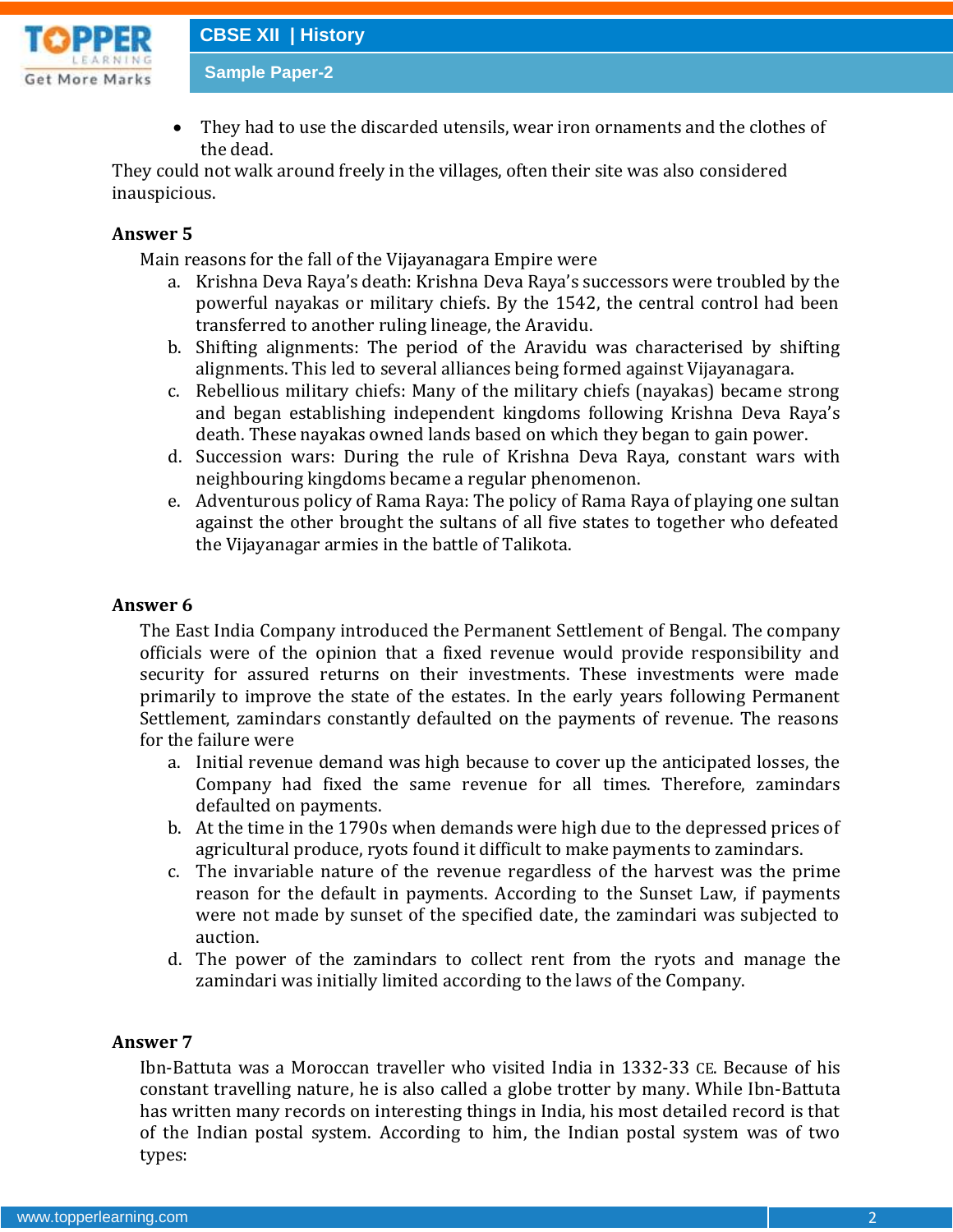

 They had to use the discarded utensils, wear iron ornaments and the clothes of the dead.

They could not walk around freely in the villages, often their site was also considered inauspicious.

## **Answer 5**

Main reasons for the fall of the Vijayanagara Empire were

- a. Krishna Deva Raya's death: Krishna Deva Raya's successors were troubled by the powerful nayakas or military chiefs. By the 1542, the central control had been transferred to another ruling lineage, the Aravidu.
- b. Shifting alignments: The period of the Aravidu was characterised by shifting alignments. This led to several alliances being formed against Vijayanagara.
- c. Rebellious military chiefs: Many of the military chiefs (nayakas) became strong and began establishing independent kingdoms following Krishna Deva Raya's death. These nayakas owned lands based on which they began to gain power.
- d. Succession wars: During the rule of Krishna Deva Raya, constant wars with neighbouring kingdoms became a regular phenomenon.
- e. Adventurous policy of Rama Raya: The policy of Rama Raya of playing one sultan against the other brought the sultans of all five states to together who defeated the Vijayanagar armies in the battle of Talikota.

## **Answer 6**

The East India Company introduced the Permanent Settlement of Bengal. The company officials were of the opinion that a fixed revenue would provide responsibility and security for assured returns on their investments. These investments were made primarily to improve the state of the estates. In the early years following Permanent Settlement, zamindars constantly defaulted on the payments of revenue. The reasons for the failure were

- a. Initial revenue demand was high because to cover up the anticipated losses, the Company had fixed the same revenue for all times. Therefore, zamindars defaulted on payments.
- b. At the time in the 1790s when demands were high due to the depressed prices of agricultural produce, ryots found it difficult to make payments to zamindars.
- c. The invariable nature of the revenue regardless of the harvest was the prime reason for the default in payments. According to the Sunset Law, if payments were not made by sunset of the specified date, the zamindari was subjected to auction.
- d. The power of the zamindars to collect rent from the ryots and manage the zamindari was initially limited according to the laws of the Company.

## **Answer 7**

Ibn-Battuta was a Moroccan traveller who visited India in 1332-33 CE. Because of his constant travelling nature, he is also called a globe trotter by many. While Ibn-Battuta has written many records on interesting things in India, his most detailed record is that of the Indian postal system. According to him, the Indian postal system was of two types: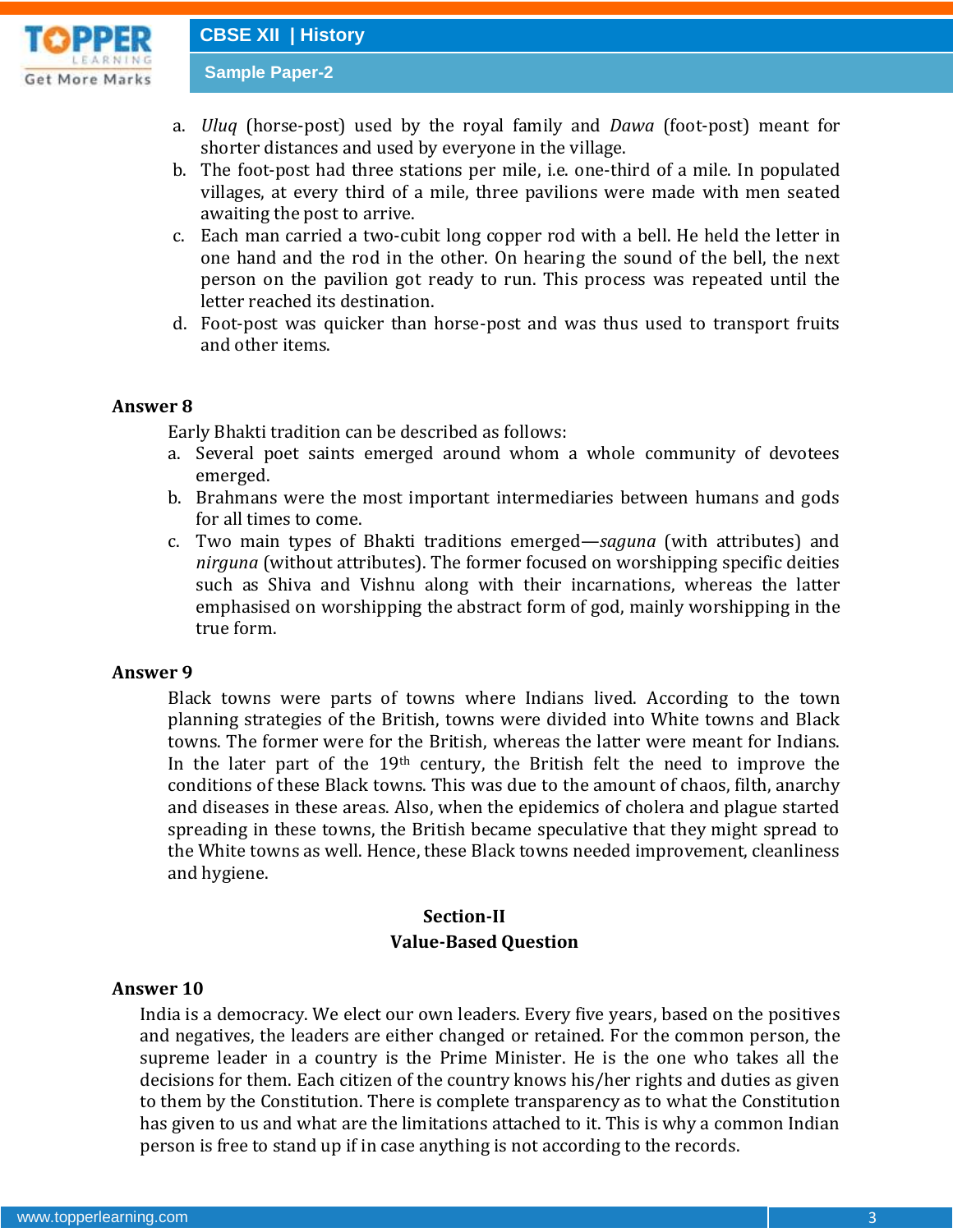**Get More Marks** 

- a. *Uluq* (horse-post) used by the royal family and *Dawa* (foot-post) meant for shorter distances and used by everyone in the village.
- b. The foot-post had three stations per mile, i.e. one-third of a mile. In populated villages, at every third of a mile, three pavilions were made with men seated awaiting the post to arrive.
- c. Each man carried a two-cubit long copper rod with a bell. He held the letter in one hand and the rod in the other. On hearing the sound of the bell, the next person on the pavilion got ready to run. This process was repeated until the letter reached its destination.
- d. Foot-post was quicker than horse-post and was thus used to transport fruits and other items.

#### **Answer 8**

Early Bhakti tradition can be described as follows:

- a. Several poet saints emerged around whom a whole community of devotees emerged.
- b. Brahmans were the most important intermediaries between humans and gods for all times to come.
- c. Two main types of Bhakti traditions emerged—*saguna* (with attributes) and *nirguna* (without attributes). The former focused on worshipping specific deities such as Shiva and Vishnu along with their incarnations, whereas the latter emphasised on worshipping the abstract form of god, mainly worshipping in the true form.

#### **Answer 9**

Black towns were parts of towns where Indians lived. According to the town planning strategies of the British, towns were divided into White towns and Black towns. The former were for the British, whereas the latter were meant for Indians. In the later part of the 19th century, the British felt the need to improve the conditions of these Black towns. This was due to the amount of chaos, filth, anarchy and diseases in these areas. Also, when the epidemics of cholera and plague started spreading in these towns, the British became speculative that they might spread to the White towns as well. Hence, these Black towns needed improvement, cleanliness and hygiene.

# **Section-II Value-Based Question**

#### **Answer 10**

India is a democracy. We elect our own leaders. Every five years, based on the positives and negatives, the leaders are either changed or retained. For the common person, the supreme leader in a country is the Prime Minister. He is the one who takes all the decisions for them. Each citizen of the country knows his/her rights and duties as given to them by the Constitution. There is complete transparency as to what the Constitution has given to us and what are the limitations attached to it. This is why a common Indian person is free to stand up if in case anything is not according to the records.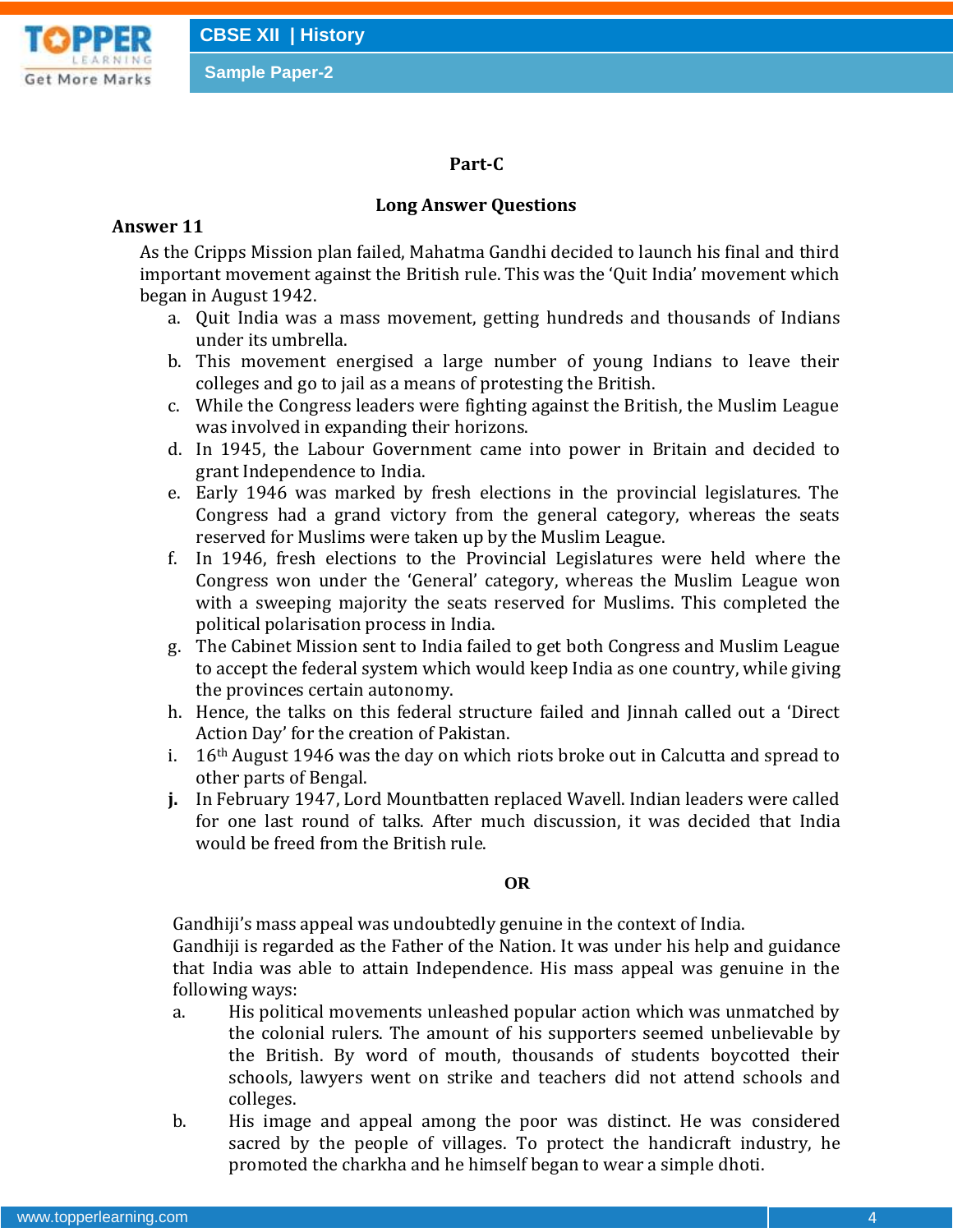## **Part-C**

# **Long Answer Questions**

## **Answer 11**

As the Cripps Mission plan failed, Mahatma Gandhi decided to launch his final and third important movement against the British rule. This was the 'Quit India' movement which began in August 1942.

- a. Quit India was a mass movement, getting hundreds and thousands of Indians under its umbrella.
- b. This movement energised a large number of young Indians to leave their colleges and go to jail as a means of protesting the British.
- c. While the Congress leaders were fighting against the British, the Muslim League was involved in expanding their horizons.
- d. In 1945, the Labour Government came into power in Britain and decided to grant Independence to India.
- e. Early 1946 was marked by fresh elections in the provincial legislatures. The Congress had a grand victory from the general category, whereas the seats reserved for Muslims were taken up by the Muslim League.
- f. In 1946, fresh elections to the Provincial Legislatures were held where the Congress won under the 'General' category, whereas the Muslim League won with a sweeping majority the seats reserved for Muslims. This completed the political polarisation process in India.
- g. The Cabinet Mission sent to India failed to get both Congress and Muslim League to accept the federal system which would keep India as one country, while giving the provinces certain autonomy.
- h. Hence, the talks on this federal structure failed and Jinnah called out a 'Direct Action Day' for the creation of Pakistan.
- i. 16th August 1946 was the day on which riots broke out in Calcutta and spread to other parts of Bengal.
- **j.** In February 1947, Lord Mountbatten replaced Wavell. Indian leaders were called for one last round of talks. After much discussion, it was decided that India would be freed from the British rule.

## **OR**

Gandhiji's mass appeal was undoubtedly genuine in the context of India.

Gandhiji is regarded as the Father of the Nation. It was under his help and guidance that India was able to attain Independence. His mass appeal was genuine in the following ways:

- a. His political movements unleashed popular action which was unmatched by the colonial rulers. The amount of his supporters seemed unbelievable by the British. By word of mouth, thousands of students boycotted their schools, lawyers went on strike and teachers did not attend schools and colleges.
- b. His image and appeal among the poor was distinct. He was considered sacred by the people of villages. To protect the handicraft industry, he promoted the charkha and he himself began to wear a simple dhoti.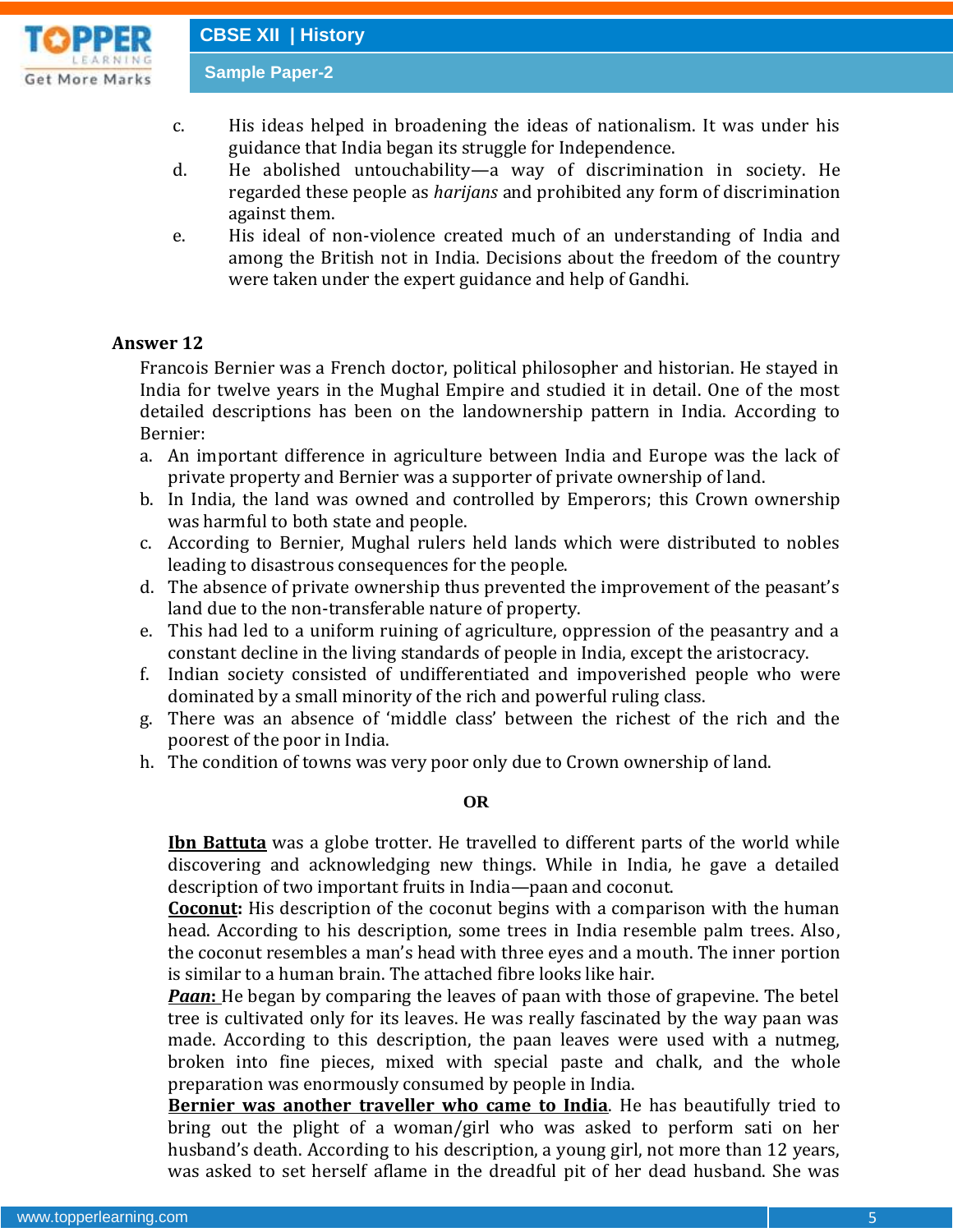**Get More Marks** 

- c. His ideas helped in broadening the ideas of nationalism. It was under his guidance that India began its struggle for Independence.
- d. He abolished untouchability—a way of discrimination in society. He regarded these people as *harijans* and prohibited any form of discrimination against them.
- e. His ideal of non-violence created much of an understanding of India and among the British not in India. Decisions about the freedom of the country were taken under the expert guidance and help of Gandhi.

## **Answer 12**

Francois Bernier was a French doctor, political philosopher and historian. He stayed in India for twelve years in the Mughal Empire and studied it in detail. One of the most detailed descriptions has been on the landownership pattern in India. According to Bernier:

- a. An important difference in agriculture between India and Europe was the lack of private property and Bernier was a supporter of private ownership of land.
- b. In India, the land was owned and controlled by Emperors; this Crown ownership was harmful to both state and people.
- c. According to Bernier, Mughal rulers held lands which were distributed to nobles leading to disastrous consequences for the people.
- d. The absence of private ownership thus prevented the improvement of the peasant's land due to the non-transferable nature of property.
- e. This had led to a uniform ruining of agriculture, oppression of the peasantry and a constant decline in the living standards of people in India, except the aristocracy.
- f. Indian society consisted of undifferentiated and impoverished people who were dominated by a small minority of the rich and powerful ruling class.
- g. There was an absence of 'middle class' between the richest of the rich and the poorest of the poor in India.
- h. The condition of towns was very poor only due to Crown ownership of land.

#### **OR**

**Ibn Battuta** was a globe trotter. He travelled to different parts of the world while discovering and acknowledging new things. While in India, he gave a detailed description of two important fruits in India—paan and coconut.

**Coconut:** His description of the coconut begins with a comparison with the human head. According to his description, some trees in India resemble palm trees. Also, the coconut resembles a man's head with three eyes and a mouth. The inner portion is similar to a human brain. The attached fibre looks like hair.

*Paan*: He began by comparing the leaves of paan with those of grapevine. The betel tree is cultivated only for its leaves. He was really fascinated by the way paan was made. According to this description, the paan leaves were used with a nutmeg, broken into fine pieces, mixed with special paste and chalk, and the whole preparation was enormously consumed by people in India.

**Bernier was another traveller who came to India**. He has beautifully tried to bring out the plight of a woman/girl who was asked to perform sati on her husband's death. According to his description, a young girl, not more than 12 years, was asked to set herself aflame in the dreadful pit of her dead husband. She was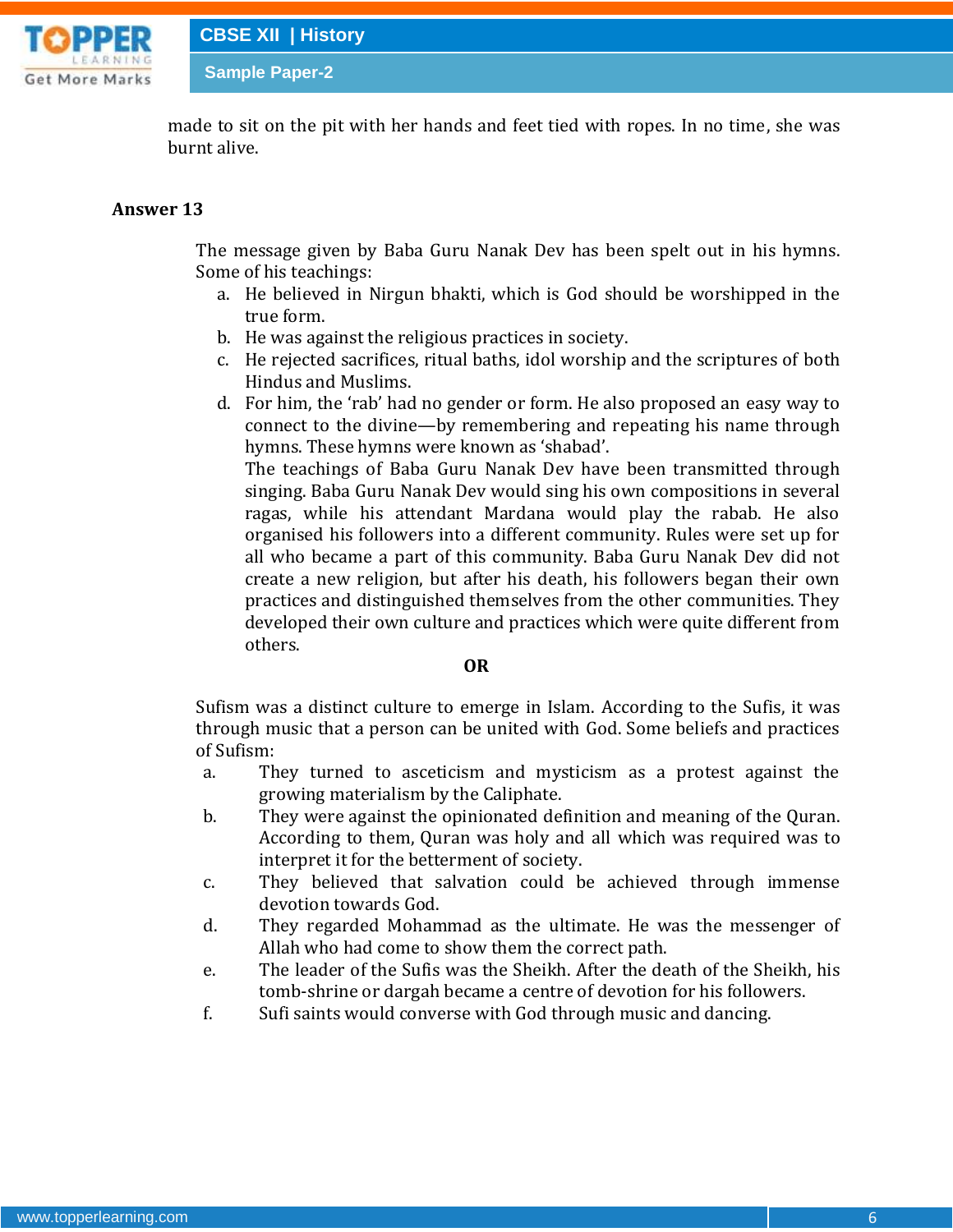

made to sit on the pit with her hands and feet tied with ropes. In no time, she was burnt alive.

#### **Answer 13**

The message given by Baba Guru Nanak Dev has been spelt out in his hymns. Some of his teachings:

- a. He believed in Nirgun bhakti, which is God should be worshipped in the true form.
- b. He was against the religious practices in society.
- c. He rejected sacrifices, ritual baths, idol worship and the scriptures of both Hindus and Muslims.
- d. For him, the 'rab' had no gender or form. He also proposed an easy way to connect to the divine—by remembering and repeating his name through hymns. These hymns were known as 'shabad'.

The teachings of Baba Guru Nanak Dev have been transmitted through singing. Baba Guru Nanak Dev would sing his own compositions in several ragas, while his attendant Mardana would play the rabab. He also organised his followers into a different community. Rules were set up for all who became a part of this community. Baba Guru Nanak Dev did not create a new religion, but after his death, his followers began their own practices and distinguished themselves from the other communities. They developed their own culture and practices which were quite different from others.

#### **OR**

Sufism was a distinct culture to emerge in Islam. According to the Sufis, it was through music that a person can be united with God. Some beliefs and practices of Sufism:

- a. They turned to asceticism and mysticism as a protest against the growing materialism by the Caliphate.
- b. They were against the opinionated definition and meaning of the Quran. According to them, Quran was holy and all which was required was to interpret it for the betterment of society.
- c. They believed that salvation could be achieved through immense devotion towards God.
- d. They regarded Mohammad as the ultimate. He was the messenger of Allah who had come to show them the correct path.
- e. The leader of the Sufis was the Sheikh. After the death of the Sheikh, his tomb-shrine or dargah became a centre of devotion for his followers.
- f. Sufi saints would converse with God through music and dancing.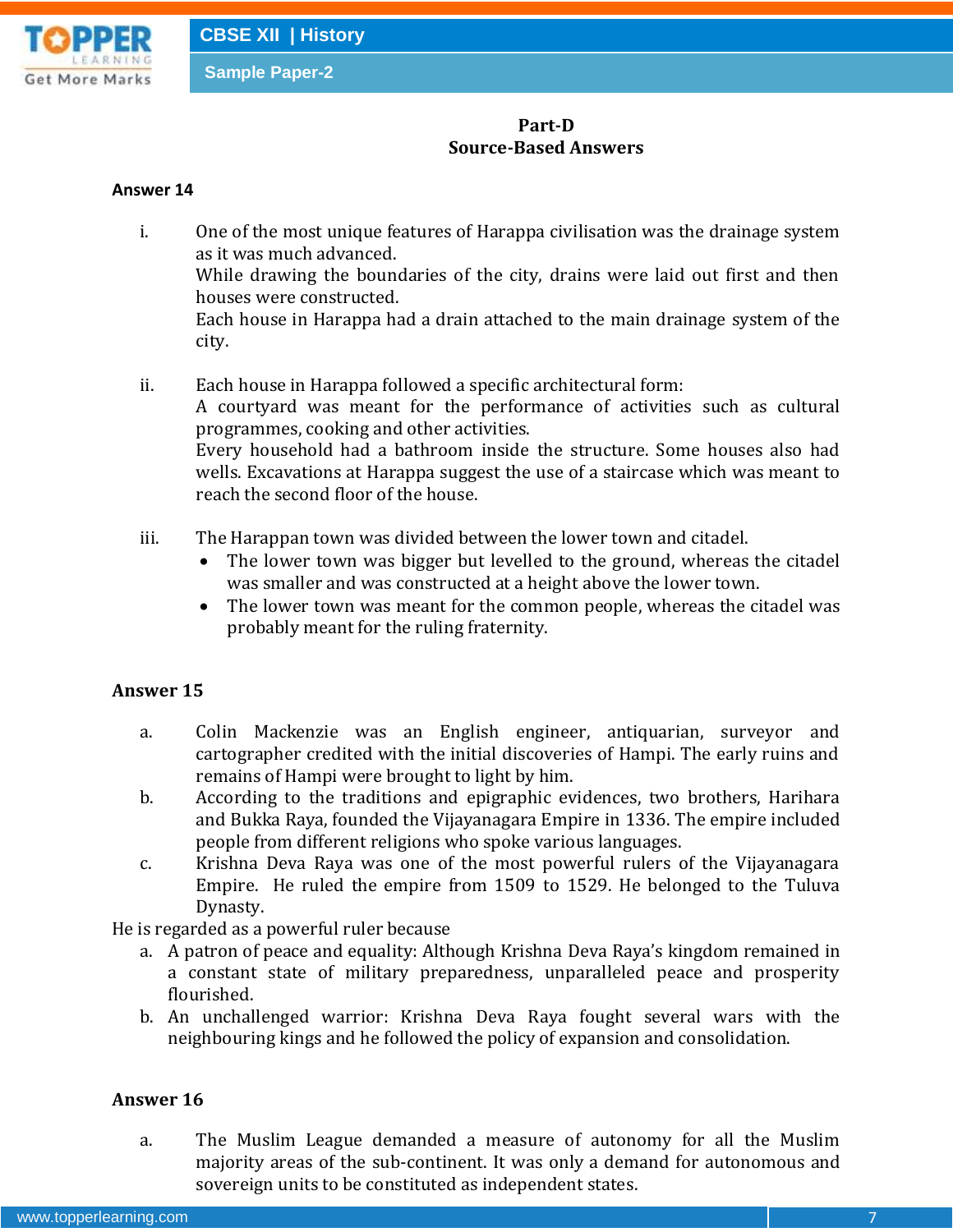

# **Part-D Source-Based Answers**

#### **Answer 14**

- i. One of the most unique features of Harappa civilisation was the drainage system as it was much advanced. While drawing the boundaries of the city, drains were laid out first and then houses were constructed. Each house in Harappa had a drain attached to the main drainage system of the city.
- ii. Each house in Harappa followed a specific architectural form: A courtyard was meant for the performance of activities such as cultural programmes, cooking and other activities. Every household had a bathroom inside the structure. Some houses also had wells. Excavations at Harappa suggest the use of a staircase which was meant to reach the second floor of the house.
- iii. The Harappan town was divided between the lower town and citadel.
	- The lower town was bigger but levelled to the ground, whereas the citadel was smaller and was constructed at a height above the lower town.
	- The lower town was meant for the common people, whereas the citadel was probably meant for the ruling fraternity.

## **Answer 15**

- a. Colin Mackenzie was an English engineer, antiquarian, surveyor and cartographer credited with the initial discoveries of Hampi. The early ruins and remains of Hampi were brought to light by him.
- b. According to the traditions and epigraphic evidences, two brothers, Harihara and Bukka Raya, founded the Vijayanagara Empire in 1336. The empire included people from different religions who spoke various languages.
- c. Krishna Deva Raya was one of the most powerful rulers of the Vijayanagara Empire. He ruled the empire from 1509 to 1529. He belonged to the Tuluva Dynasty.

He is regarded as a powerful ruler because

- a. A patron of peace and equality: Although Krishna Deva Raya's kingdom remained in a constant state of military preparedness, unparalleled peace and prosperity flourished.
- b. An unchallenged warrior: Krishna Deva Raya fought several wars with the neighbouring kings and he followed the policy of expansion and consolidation.

## **Answer 16**

a. The Muslim League demanded a measure of autonomy for all the Muslim majority areas of the sub-continent. It was only a demand for autonomous and sovereign units to be constituted as independent states.